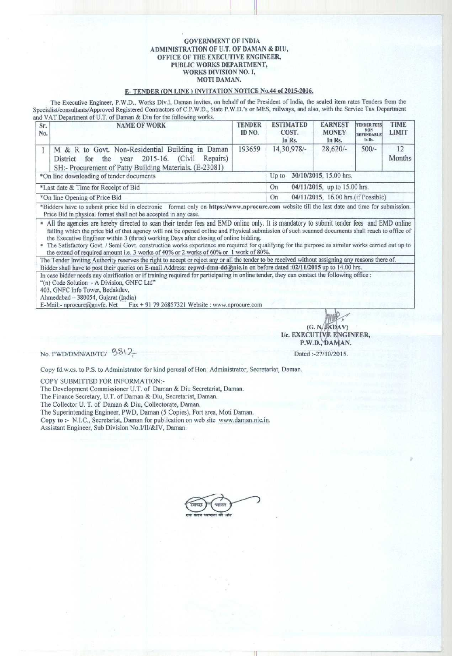### GOVERNMENT OF INDIA ADMINISTRATION OF U.T. OF DAMAN & DIU, OFFICE OF THE EXECUTIVE ENGINEER, PUBLIC WORKS DEPARTMENT, WORKS DIVISION NO. I, MOTI DAMAN.

## **E- TENDER** (ON LINE) INVITATION NOTICE No. **44 of 2015-2016.**

The Executive **Engineer**, P.W.D., Works Div.I, Daman invites, on behalf of the President of India, **the sealed item** rates Tenders from the Specialist/consultants/Approved Registered Contractors of C.P.W.D., State P.W.D.'s or MES, railways, and also, with the Service Tax Department and VAT Department of U.T, of Daman & Diu for the following works.

| Sr.<br>No.                               | <b>NAME OF WORK</b>                                                                                                                                              | <b>TENDER</b><br>ID NO.                   | <b>ESTIMATED</b><br>COST.<br>In Rs. | <b>EARNEST</b><br><b>MONEY</b><br>In Rs. | <b>TENDER FEES</b><br><b>NON</b><br><b>REFUNDABLE</b><br>In Rs. | <b>TIME</b><br><b>LIMIT</b> |  |
|------------------------------------------|------------------------------------------------------------------------------------------------------------------------------------------------------------------|-------------------------------------------|-------------------------------------|------------------------------------------|-----------------------------------------------------------------|-----------------------------|--|
|                                          | M & R to Govt. Non-Residential Building in Daman<br>District for the year 2015-16. (Civil<br>Repairs)<br>SH:- Procurement of Patty Building Materials. (E-23081) | 193659                                    | 14,30,978/-                         | $28,620/-$                               | $500/-$                                                         | 12<br>Months                |  |
| *On line downloading of tender documents |                                                                                                                                                                  |                                           | 30/10/2015, 15.00 hrs.<br>$Up$ to   |                                          |                                                                 |                             |  |
| *Last date & Time for Receipt of Bid     |                                                                                                                                                                  |                                           | 04/11/2015, up to 15.00 hrs.<br>On  |                                          |                                                                 |                             |  |
| *On line Opening of Price Bid            |                                                                                                                                                                  | 04/11/2015, 16.00 hrs.(if Possible)<br>On |                                     |                                          |                                                                 |                             |  |

\*Bidders have to submit price bid in electronic format only **on https**://**www.nprocure** .com website till the last date and time for submission. Price Bid in physical format shall not be accepted in any case.

All the agencies are hereby directed to scan their tender fees and EMD online only. It is mandatory to submit tender fees and EMD online failing which the price bid of that agency will not be opened online and Physical submission of such **scanned** documents shall reach to office of the Executive Engineer within 3 (three) working Days after closing of online bidding.

<sup>n</sup> The Satisfactory Govt. / Semi Govt. construction works experience are required for qualifying for the purpose as similar works carried out up to the extend of required amount i.e. 3 works of 40% or 2 works of 60% or 1 work of 80%.

The Tender Inviting Authority reserves the right to accept or reject any or all the tender to be received without **assi** g**nin** g **an** y **reasons** there of. Bidder shall have to post their queries on E-mail Address: eepwd-dmn-dd@nic.in on before dated :02/11/2015 up to 14.00 hrs.

In case bidder needs any clarification or if training required for participating in online tender, they **can contact** the following office : "(n) Code Solution - A Division, GNFC Ltd"

403, GNFC Info Tower, Bodakdev,

Ahmedabad - 380054, Gujarat (India)<br>E-Mail:- nprocure@gnvfc. Net Fax  $\text{Fax} + 917926857321$  Website : www.nprocure.com

 $(G. N.$   $\widehat{\mathsf{JADAV}})$ I/c. EXECUTIVE ENGINEER, P.W.D., DAMAN.

**No. PWD**/**DMN/AB**/TC/ <sup>381</sup> 2

**Dated** :-27/10/2015,

Copy **fd.w.cs. to P.S. to Administrator for kind perusal of Hon** . **Administrator**, **Secretariat, Daman.**

COPY SUBMITTED FOR INFORMATION:-

**The Development Commissioner** U.T. of **Daman & Diu Secretariat, Daman.**

**The Finance Secretary**, U.T. of **Daman & Diu, Secretariat, Daman.**

**The Collector U. T. of Daman** & **Diu, Collectorate, Daman.**

**The Superintending Engineer**, **PWD, Daman** ( **5 Copies**), **Fort area, Moti Daman.**

**Copy to** :- **N.I.C., Secretariat**, **Daman for publication on web site www** . **daman** . **nic.in. Assistant Engineer**, **Sub Division No.1/II/&IV, Daman.**

भारत एक बादम स्वच्छना को